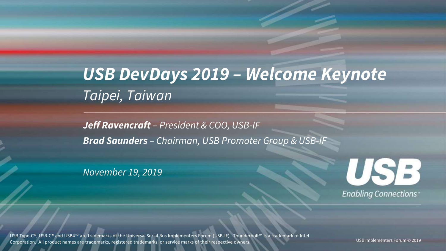### *Taipei, Taiwan USB DevDays 2019 – Welcome Keynote*

*Jeff Ravencraft – President & COO, USB-IF Brad Saunders – Chairman, USB Promoter Group & USB-IF*

*November 19, 2019*



USB Type-C®, USB-C® and USB4™ are trademarks of the Universal Serial Bus Implementers Forum (USB-IF). Thunderbolt™ is a trademark of Intel Corporation. All product names are trademarks, registered trademarks, or service marks of their respective owners.

USB Implementers Forum © 2019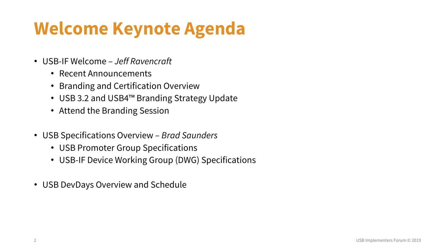## **Welcome Keynote Agenda**

- USB-IF Welcome *Jeff Ravencraft*
	- Recent Announcements
	- Branding and Certification Overview
	- USB 3.2 and USB4™ Branding Strategy Update
	- Attend the Branding Session
- USB Specifications Overview *Brad Saunders*
	- USB Promoter Group Specifications
	- USB-IF Device Working Group (DWG) Specifications
- USB DevDays Overview and Schedule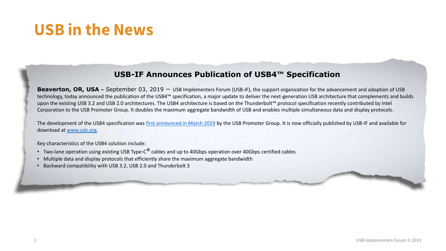### **USB in the News**

#### **USB-IF Announces Publication of USB4™ Specification**

**Beaverton, OR, USA** – September 03, 2019 – USB Implementers Forum (USB-IF), the support organization for the advancement and adoption of USB technology, today announced the publication of the USB4™ specification, a major update to deliver the next-generation USB architecture that complements and builds upon the existing USB 3.2 and USB 2.0 architectures. The USB4 architecture is based on the Thunderbolt™ protocol specification recently contributed by Intel Corporation to the USB Promoter Group. It doubles the maximum aggregate bandwidth of USB and enables multiple simultaneous data and display protocols.

The development of the USB4 specification was [first announced in March 2019](https://usb.org/sites/default/files/2019-03/USB_PG_USB4_DevUpdate_Announcement_FINAL_20190226.pdf) by the USB Promoter Group. It is now officially published by USB-IF and available for download at [www.usb.org](http://www.usb.org/).

Key characteristics of the USB4 solution include:

- Two-lane operation using existing USB Type-C<sup>®</sup> cables and up to 40Gbps operation over 40Gbps certified cables
- Multiple data and display protocols that efficiently share the maximum aggregate bandwidth
- Backward compatibility with USB 3.2, USB 2.0 and Thunderbolt 3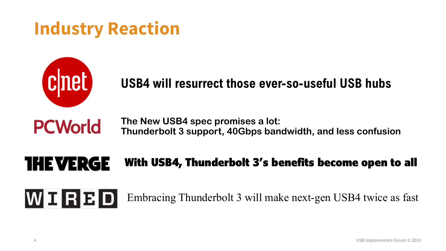### **Industry Reaction**



**PCWorld** 

WERED

### **USB4 will resurrect those ever-so-useful USB hubs**

**The New USB4 spec promises a lot: Thunderbolt 3 support, 40Gbps bandwidth, and less confusion**

#### **THE VERGE** With USB4, Thunderbolt 3's benefits become open to all

Embracing Thunderbolt 3 will make next-gen USB4 twice as fast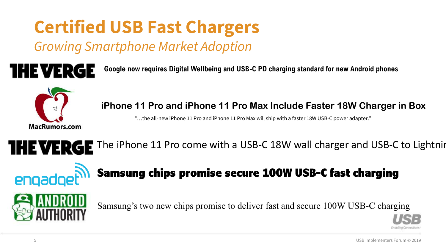# **Certified USB Fast Chargers**

*Growing Smartphone Market Adoption* 

**THE VERGE** 

**Google now requires Digital Wellbeing and USB-C PD charging standard for new Android phones**



**iPhone 11 Pro and iPhone 11 Pro Max Include Faster 18W Charger in Box**

"…the all-new iPhone 11 Pro and iPhone 11 Pro Max will ship with a faster 18W USB-C power adapter."

THE VERGE The iPhone 11 Pro come with a USB-C 18W wall charger and USB-C to Lightning



### Samsung chips promise secure 100W USB-C fast charging



Samsung's two new chips promise to deliver fast and secure 100W USB-C charging

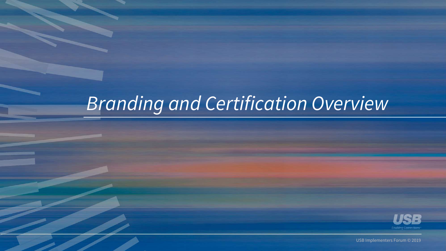## *Branding and Certification Overview*



USB Implementers Forum © 2019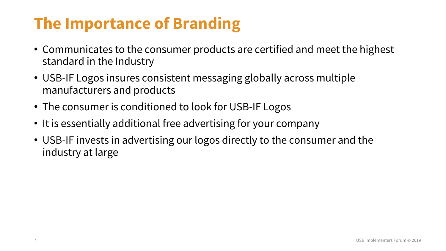### **The Importance of Branding**

- Communicates to the consumer products are certified and meet the highest standard in the Industry
- USB-IF Logos insures consistent messaging globally across multiple manufacturers and products
- The consumer is conditioned to look for USB-IF Logos
- It is essentially additional free advertising for your company
- USB-IF invests in advertising our logos directly to the consumer and the industry at large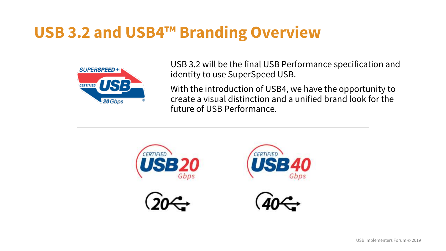### **USB 3.2 and USB4™ Branding Overview**



USB 3.2 will be the final USB Performance specification and identity to use SuperSpeed USB.

With the introduction of USB4, we have the opportunity to create a visual distinction and a unified brand look for the future of USB Performance.







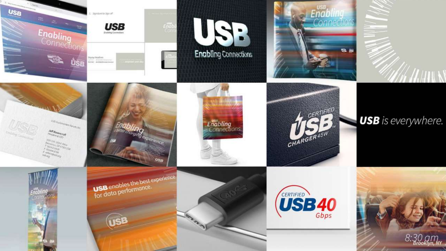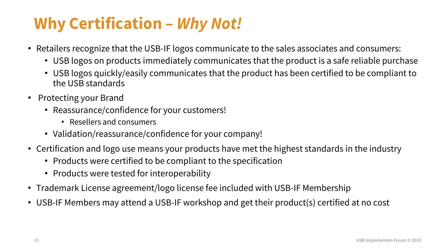### **Why Certification –** *Why Not!*

- Retailers recognize that the USB-IF logos communicate to the sales associates and consumers:
	- USB logos on products immediately communicates that the product is a safe reliable purchase
	- USB logos quickly/easily communicates that the product has been certified to be compliant to the USB standards
- Protecting your Brand
	- Reassurance/confidence for your customers!
		- Resellers and consumers
	- Validation/reassurance/confidence for your company!
- Certification and logo use means your products have met the highest standards in the industry
	- Products were certified to be compliant to the specification
	- Products were tested for interoperability
- Trademark License agreement/logo license fee included with USB-IF Membership
- USB-IF Members may attend a USB-IF workshop and get their product(s) certified at no cost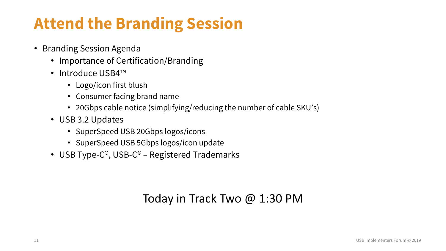### **Attend the Branding Session**

- Branding Session Agenda
	- Importance of Certification/Branding
	- Introduce USB4™
		- Logo/icon first blush
		- Consumer facing brand name
		- 20Gbps cable notice (simplifying/reducing the number of cable SKU's)
	- USB 3.2 Updates
		- SuperSpeed USB 20Gbps logos/icons
		- SuperSpeed USB 5Gbps logos/icon update
	- USB Type-C®, USB-C® Registered Trademarks

#### Today in Track Two @ 1:30 PM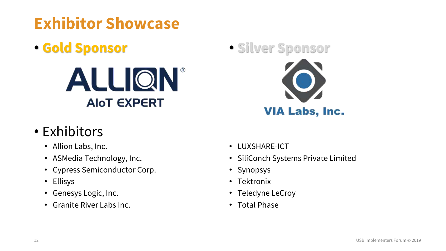## **Exhibitor Showcase**

• **Gold Sponsor** 



### • Exhibitors

- Allion Labs, Inc.
- ASMedia Technology, Inc.
- Cypress Semiconductor Corp.
- Ellisys
- Genesys Logic, Inc.
- Granite River Labs Inc.



- LUXSHARE-ICT
- SiliConch Systems Private Limited
- Synopsys
- Tektronix
- Teledyne LeCroy
- Total Phase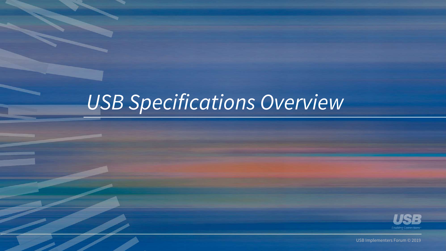# *USB Specifications Overview*



USB Implementers Forum © 2019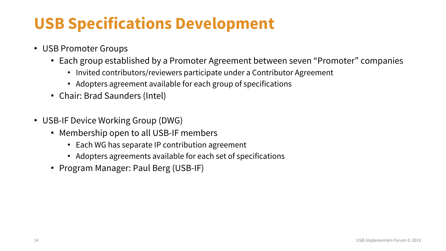### **USB Specifications Development**

- USB Promoter Groups
	- Each group established by a Promoter Agreement between seven "Promoter" companies
		- Invited contributors/reviewers participate under a Contributor Agreement
		- Adopters agreement available for each group of specifications
	- Chair: Brad Saunders (Intel)
- USB-IF Device Working Group (DWG)
	- Membership open to all USB-IF members
		- Each WG has separate IP contribution agreement
		- Adopters agreements available for each set of specifications
	- Program Manager: Paul Berg (USB-IF)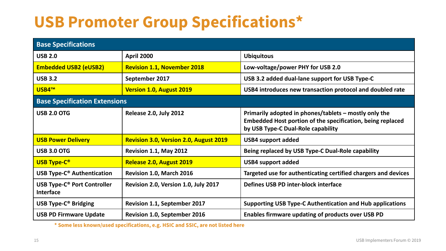### **USB Promoter Group Specifications\***

| <b>Base Specifications</b>                                        |                                               |                                                                                                                                                           |  |  |  |
|-------------------------------------------------------------------|-----------------------------------------------|-----------------------------------------------------------------------------------------------------------------------------------------------------------|--|--|--|
| <b>USB 2.0</b>                                                    | <b>April 2000</b>                             | <b>Ubiquitous</b>                                                                                                                                         |  |  |  |
| <b>Embedded USB2 (eUSB2)</b>                                      | <b>Revision 1.1, November 2018</b>            | Low-voltage/power PHY for USB 2.0                                                                                                                         |  |  |  |
| <b>USB 3.2</b>                                                    | September 2017                                | USB 3.2 added dual-lane support for USB Type-C                                                                                                            |  |  |  |
| <b>USB4™</b>                                                      | <b>Version 1.0, August 2019</b>               | USB4 introduces new transaction protocol and doubled rate                                                                                                 |  |  |  |
| <b>Base Specification Extensions</b>                              |                                               |                                                                                                                                                           |  |  |  |
| <b>USB 2.0 OTG</b>                                                | <b>Release 2.0, July 2012</b>                 | Primarily adopted in phones/tablets - mostly only the<br>Embedded Host portion of the specification, being replaced<br>by USB Type-C Dual-Role capability |  |  |  |
| <b>USB Power Delivery</b>                                         | <b>Revision 3.0, Version 2.0, August 2019</b> | <b>USB4 support added</b>                                                                                                                                 |  |  |  |
| <b>USB 3.0 OTG</b>                                                | Revision 1.1, May 2012                        | Being replaced by USB Type-C Dual-Role capability                                                                                                         |  |  |  |
| <b>USB Type-C®</b>                                                | Release 2.0, August 2019                      | <b>USB4 support added</b>                                                                                                                                 |  |  |  |
| <b>USB Type-C<sup>®</sup> Authentication</b>                      | Revision 1.0, March 2016                      | Targeted use for authenticating certified chargers and devices                                                                                            |  |  |  |
| <b>USB Type-C<sup>®</sup> Port Controller</b><br><b>Interface</b> | Revision 2.0, Version 1.0, July 2017          | Defines USB PD inter-block interface                                                                                                                      |  |  |  |
| <b>USB Type-C® Bridging</b>                                       | <b>Revision 1.1, September 2017</b>           | <b>Supporting USB Type-C Authentication and Hub applications</b>                                                                                          |  |  |  |
| <b>USB PD Firmware Update</b>                                     | <b>Revision 1.0, September 2016</b>           | Enables firmware updating of products over USB PD                                                                                                         |  |  |  |

**\* Some less known/used specifications, e.g. HSIC and SSIC, are not listed here**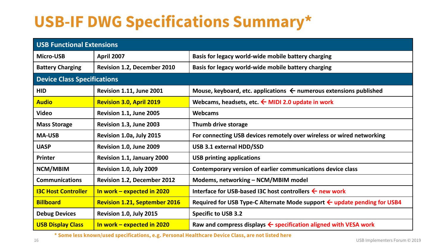### **USB-IF DWG Specifications Summary\***

| USB Functional Extensions          |                                      |                                                                                     |  |  |  |
|------------------------------------|--------------------------------------|-------------------------------------------------------------------------------------|--|--|--|
| <b>Micro-USB</b>                   | <b>April 2007</b>                    | Basis for legacy world-wide mobile battery charging                                 |  |  |  |
| <b>Battery Charging</b>            | <b>Revision 1.2, December 2010</b>   | Basis for legacy world-wide mobile battery charging                                 |  |  |  |
| <b>Device Class Specifications</b> |                                      |                                                                                     |  |  |  |
| <b>HID</b>                         | <b>Revision 1.11, June 2001</b>      | Mouse, keyboard, etc. applications $\leftarrow$ numerous extensions published       |  |  |  |
| <b>Audio</b>                       | <b>Revision 3.0, April 2019</b>      | Webcams, headsets, etc. $\leftarrow$ MIDI 2.0 update in work                        |  |  |  |
| <b>Video</b>                       | Revision 1.1, June 2005              | Webcams                                                                             |  |  |  |
| <b>Mass Storage</b>                | Revision 1.3, June 2003              | Thumb drive storage                                                                 |  |  |  |
| <b>MA-USB</b>                      | Revision 1.0a, July 2015             | For connecting USB devices remotely over wireless or wired networking               |  |  |  |
| <b>UASP</b>                        | Revision 1.0, June 2009              | USB 3.1 external HDD/SSD                                                            |  |  |  |
| <b>Printer</b>                     | Revision 1.1, January 2000           | <b>USB printing applications</b>                                                    |  |  |  |
| NCM/MBIM                           | Revision 1.0, July 2009              | Contemporary version of earlier communications device class                         |  |  |  |
| <b>Communications</b>              | <b>Revision 1.2, December 2012</b>   | Modems, networking - NCM/MBIM model                                                 |  |  |  |
| <b>I3C Host Controller</b>         | In work - expected in 2020           | Interface for USB-based I3C host controllers $\leftarrow$ new work                  |  |  |  |
| <b>Billboard</b>                   | <b>Revision 1.21, September 2016</b> | Required for USB Type-C Alternate Mode support $\leftarrow$ update pending for USB4 |  |  |  |
| <b>Debug Devices</b>               | Revision 1.0, July 2015              | <b>Specific to USB 3.2</b>                                                          |  |  |  |
| <b>USB Display Class</b>           | In work - expected in 2020           | Raw and compress displays $\leftarrow$ specification aligned with VESA work         |  |  |  |

**\* Some less known/used specifications, e.g. Personal Healthcare Device Class, are not listed here**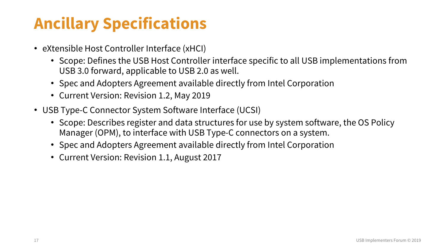### **Ancillary Specifications**

- eXtensible Host Controller Interface (xHCI)
	- Scope: Defines the USB Host Controller interface specific to all USB implementations from USB 3.0 forward, applicable to USB 2.0 as well.
	- Spec and Adopters Agreement available directly from Intel Corporation
	- Current Version: Revision 1.2, May 2019
- USB Type-C Connector System Software Interface (UCSI)
	- Scope: Describes register and data structures for use by system software, the OS Policy Manager (OPM), to interface with USB Type-C connectors on a system.
	- Spec and Adopters Agreement available directly from Intel Corporation
	- Current Version: Revision 1.1, August 2017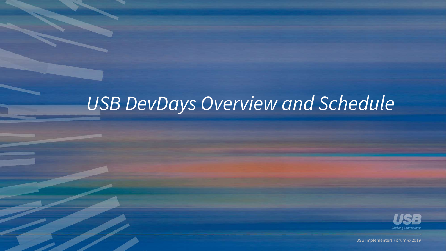## *USB DevDays Overview and Schedule*



USB Implementers Forum © 2019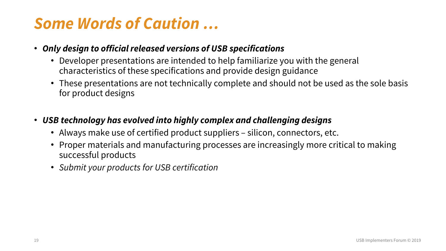### *Some Words of Caution …*

- *Only design to official released versions of USB specifications*
	- Developer presentations are intended to help familiarize you with the general characteristics of these specifications and provide design guidance
	- These presentations are not technically complete and should not be used as the sole basis for product designs
- *USB technology has evolved into highly complex and challenging designs*
	- Always make use of certified product suppliers silicon, connectors, etc.
	- Proper materials and manufacturing processes are increasingly more critical to making successful products
	- *Submit your products for USB certification*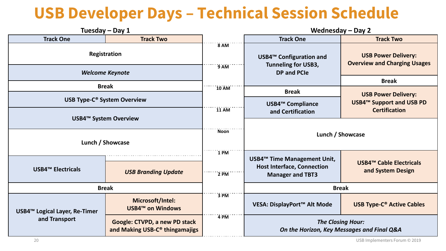### **USB Developer Days – Technical Session Schedule**

| Tuesday - Day 1                                            |                                                                             |                                                                                                           | <b>Wednesday - Day 2</b>                                                                    |                                                         |  |
|------------------------------------------------------------|-----------------------------------------------------------------------------|-----------------------------------------------------------------------------------------------------------|---------------------------------------------------------------------------------------------|---------------------------------------------------------|--|
| <b>Track One</b>                                           | <b>Track Two</b>                                                            |                                                                                                           | <b>Track One</b>                                                                            | <b>Track Two</b>                                        |  |
| <b>Registration</b><br><b>Welcome Keynote</b>              |                                                                             | 8 AM<br>USB4 <sup>™</sup> Configuration and<br><b>Tunneling for USB3,</b><br>$9$ AM<br><b>DP and PCIe</b> | <b>USB Power Delivery:</b><br><b>Overview and Charging Usages</b>                           |                                                         |  |
|                                                            |                                                                             |                                                                                                           |                                                                                             | <b>Break</b>                                            |  |
| <b>Break</b>                                               |                                                                             | $10$ AM                                                                                                   | <b>Break</b>                                                                                | <b>USB Power Delivery:</b>                              |  |
| <b>USB Type-C® System Overview</b>                         |                                                                             | <b>11 AM</b>                                                                                              | <b>USB4™ Compliance</b>                                                                     | <b>USB4™ Support and USB PD</b><br><b>Certification</b> |  |
| <b>USB4™ System Overview</b>                               |                                                                             |                                                                                                           | and Certification                                                                           |                                                         |  |
| Lunch / Showcase                                           |                                                                             | <b>Noon</b>                                                                                               | Lunch / Showcase                                                                            |                                                         |  |
| <b>USB4™ Electricals</b>                                   | <b>USB Branding Update</b>                                                  | 1 PM<br>$2$ PM                                                                                            | USB4™ Time Management Unit,<br><b>Host Interface, Connection</b><br><b>Manager and TBT3</b> | <b>USB4™ Cable Electricals</b><br>and System Design     |  |
| <b>Break</b>                                               |                                                                             |                                                                                                           | <b>Break</b>                                                                                |                                                         |  |
| USB4 <sup>™</sup> Logical Layer, Re-Timer<br>and Transport | Microsoft/Intel:<br><b>USB4™ on Windows</b>                                 | 3 PM                                                                                                      | VESA: DisplayPort™ Alt Mode                                                                 | <b>USB Type-C<sup>®</sup> Active Cables</b>             |  |
|                                                            | Google: CTVPD, a new PD stack<br>and Making USB-C <sup>®</sup> thingamajigs | 4 PM                                                                                                      | <b>The Closing Hour:</b><br>On the Horizon, Key Messages and Final Q&A                      |                                                         |  |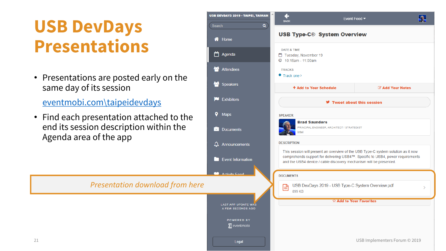## **USB DevDays Presentations**

• Presentations are posted early on the same day of its session

[eventmobi.com\taipeidevdays](eventmobi.com/taipeidevdays)

• Find each presentation attached to the end its session description within the Agenda area of the app

*Presentation download from here*